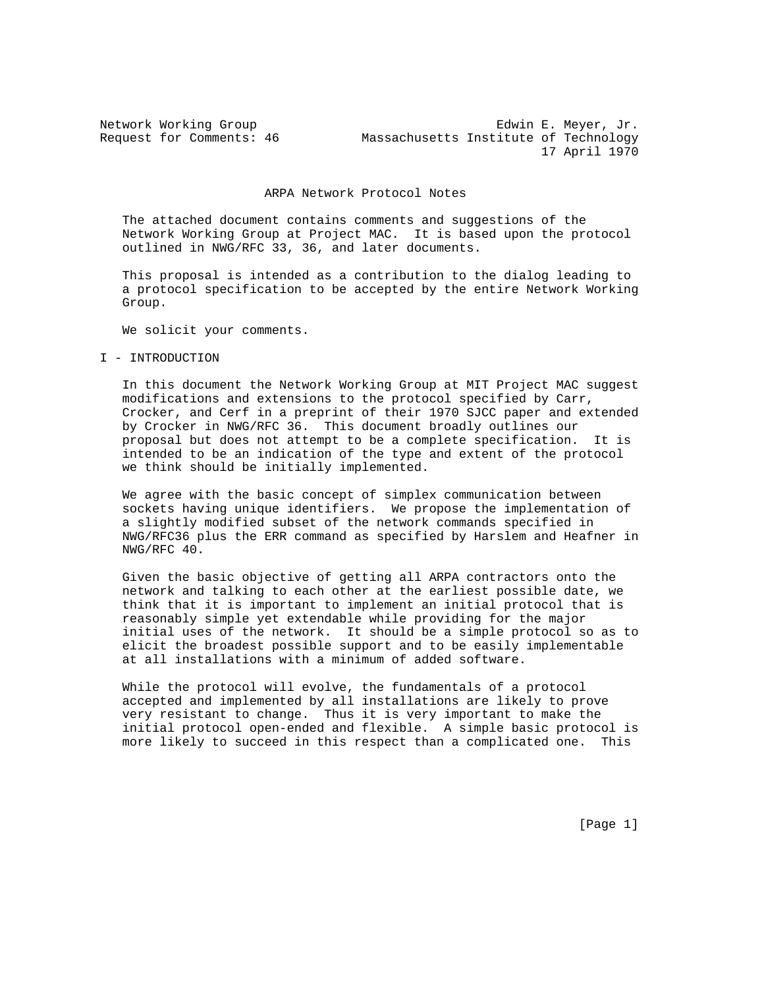Network Working Group **Edwin E. Meyer, Jr.** Section 2. Meyer, Jr. 3. Meyer, Jr. 2. Meyer, Jr. 2. Meyer, 2. 2. Edwin E. Meyer, 2. Request for Comments: 46 Massachusetts Institute of Technology 17 April 1970

#### ARPA Network Protocol Notes

 The attached document contains comments and suggestions of the Network Working Group at Project MAC. It is based upon the protocol outlined in NWG/RFC 33, 36, and later documents.

 This proposal is intended as a contribution to the dialog leading to a protocol specification to be accepted by the entire Network Working Group.

We solicit your comments.

### I - INTRODUCTION

 In this document the Network Working Group at MIT Project MAC suggest modifications and extensions to the protocol specified by Carr, Crocker, and Cerf in a preprint of their 1970 SJCC paper and extended by Crocker in NWG/RFC 36. This document broadly outlines our proposal but does not attempt to be a complete specification. It is intended to be an indication of the type and extent of the protocol we think should be initially implemented.

 We agree with the basic concept of simplex communication between sockets having unique identifiers. We propose the implementation of a slightly modified subset of the network commands specified in NWG/RFC36 plus the ERR command as specified by Harslem and Heafner in NWG/RFC 40.

 Given the basic objective of getting all ARPA contractors onto the network and talking to each other at the earliest possible date, we think that it is important to implement an initial protocol that is reasonably simple yet extendable while providing for the major initial uses of the network. It should be a simple protocol so as to elicit the broadest possible support and to be easily implementable at all installations with a minimum of added software.

 While the protocol will evolve, the fundamentals of a protocol accepted and implemented by all installations are likely to prove very resistant to change. Thus it is very important to make the initial protocol open-ended and flexible. A simple basic protocol is more likely to succeed in this respect than a complicated one. This

[Page 1]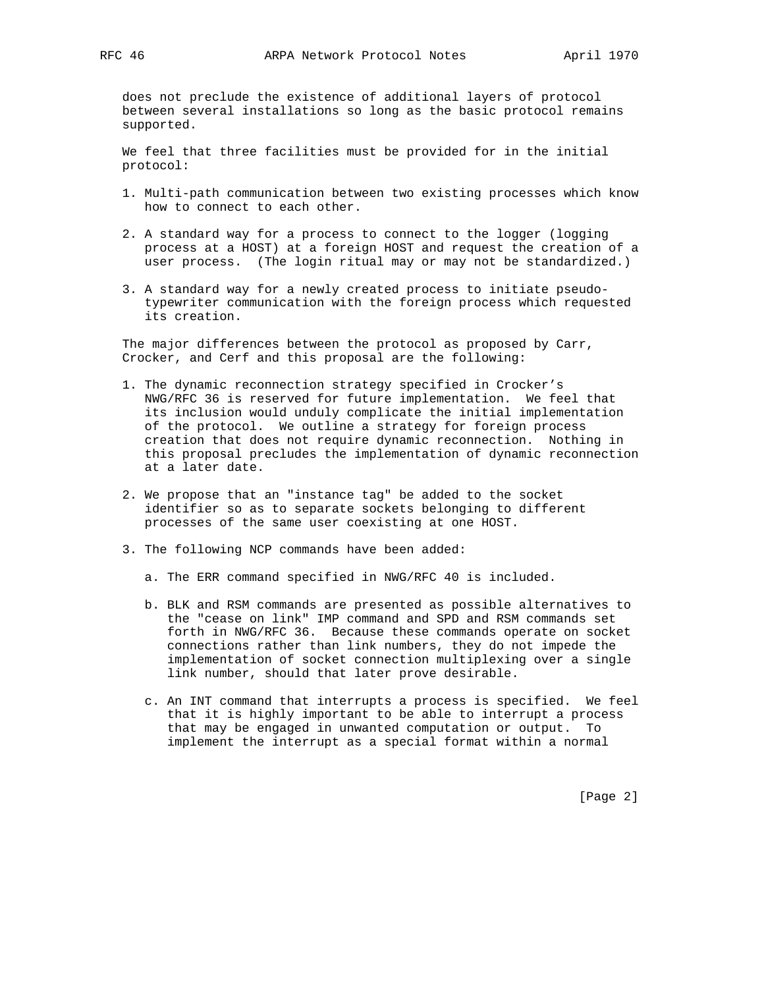does not preclude the existence of additional layers of protocol between several installations so long as the basic protocol remains supported.

 We feel that three facilities must be provided for in the initial protocol:

- 1. Multi-path communication between two existing processes which know how to connect to each other.
- 2. A standard way for a process to connect to the logger (logging process at a HOST) at a foreign HOST and request the creation of a user process. (The login ritual may or may not be standardized.)
- 3. A standard way for a newly created process to initiate pseudo typewriter communication with the foreign process which requested its creation.

 The major differences between the protocol as proposed by Carr, Crocker, and Cerf and this proposal are the following:

- 1. The dynamic reconnection strategy specified in Crocker's NWG/RFC 36 is reserved for future implementation. We feel that its inclusion would unduly complicate the initial implementation of the protocol. We outline a strategy for foreign process creation that does not require dynamic reconnection. Nothing in this proposal precludes the implementation of dynamic reconnection at a later date.
- 2. We propose that an "instance tag" be added to the socket identifier so as to separate sockets belonging to different processes of the same user coexisting at one HOST.
- 3. The following NCP commands have been added:
	- a. The ERR command specified in NWG/RFC 40 is included.
	- b. BLK and RSM commands are presented as possible alternatives to the "cease on link" IMP command and SPD and RSM commands set forth in NWG/RFC 36. Because these commands operate on socket connections rather than link numbers, they do not impede the implementation of socket connection multiplexing over a single link number, should that later prove desirable.
	- c. An INT command that interrupts a process is specified. We feel that it is highly important to be able to interrupt a process that may be engaged in unwanted computation or output. To implement the interrupt as a special format within a normal

[Page 2]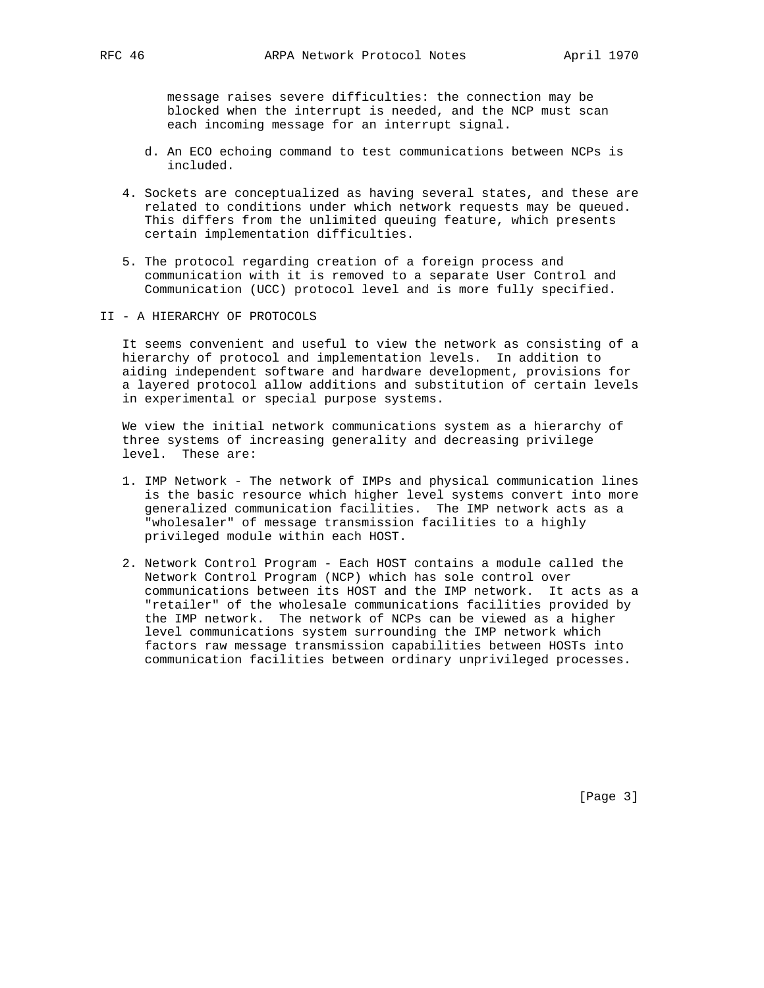message raises severe difficulties: the connection may be blocked when the interrupt is needed, and the NCP must scan each incoming message for an interrupt signal.

- d. An ECO echoing command to test communications between NCPs is included.
- 4. Sockets are conceptualized as having several states, and these are related to conditions under which network requests may be queued. This differs from the unlimited queuing feature, which presents certain implementation difficulties.
- 5. The protocol regarding creation of a foreign process and communication with it is removed to a separate User Control and Communication (UCC) protocol level and is more fully specified.
- II A HIERARCHY OF PROTOCOLS

 It seems convenient and useful to view the network as consisting of a hierarchy of protocol and implementation levels. In addition to aiding independent software and hardware development, provisions for a layered protocol allow additions and substitution of certain levels in experimental or special purpose systems.

 We view the initial network communications system as a hierarchy of three systems of increasing generality and decreasing privilege level. These are:

- 1. IMP Network The network of IMPs and physical communication lines is the basic resource which higher level systems convert into more generalized communication facilities. The IMP network acts as a "wholesaler" of message transmission facilities to a highly privileged module within each HOST.
- 2. Network Control Program Each HOST contains a module called the Network Control Program (NCP) which has sole control over communications between its HOST and the IMP network. It acts as a "retailer" of the wholesale communications facilities provided by the IMP network. The network of NCPs can be viewed as a higher level communications system surrounding the IMP network which factors raw message transmission capabilities between HOSTs into communication facilities between ordinary unprivileged processes.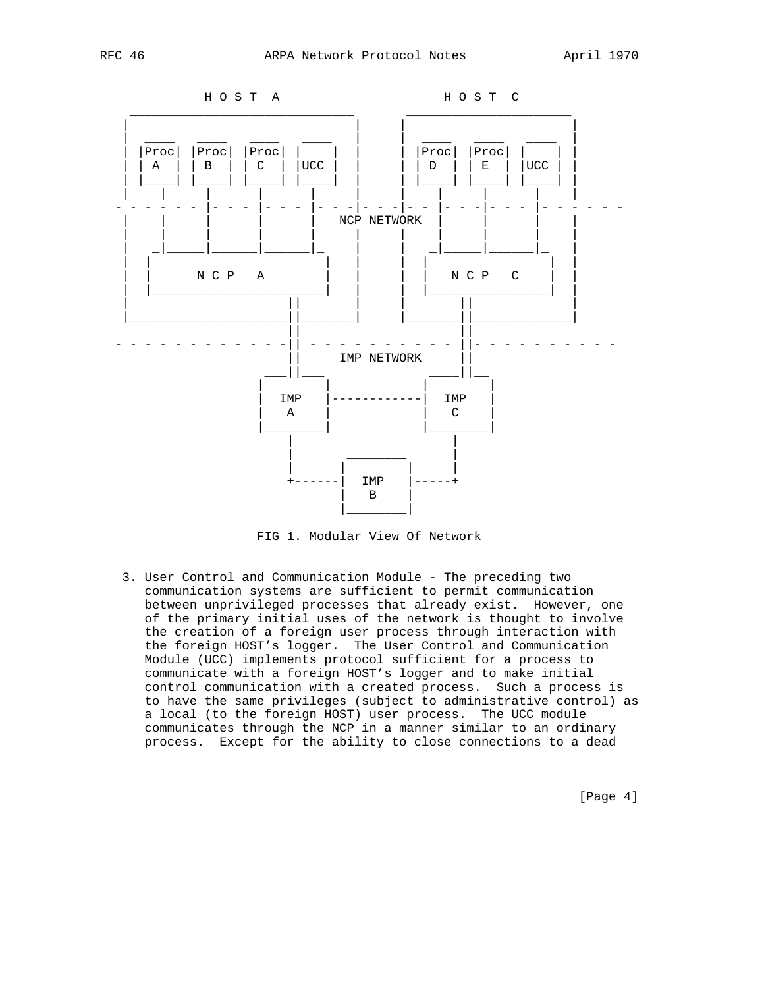



FIG 1. Modular View Of Network

 3. User Control and Communication Module - The preceding two communication systems are sufficient to permit communication between unprivileged processes that already exist. However, one of the primary initial uses of the network is thought to involve the creation of a foreign user process through interaction with the foreign HOST's logger. The User Control and Communication Module (UCC) implements protocol sufficient for a process to communicate with a foreign HOST's logger and to make initial control communication with a created process. Such a process is to have the same privileges (subject to administrative control) as a local (to the foreign HOST) user process. The UCC module communicates through the NCP in a manner similar to an ordinary process. Except for the ability to close connections to a dead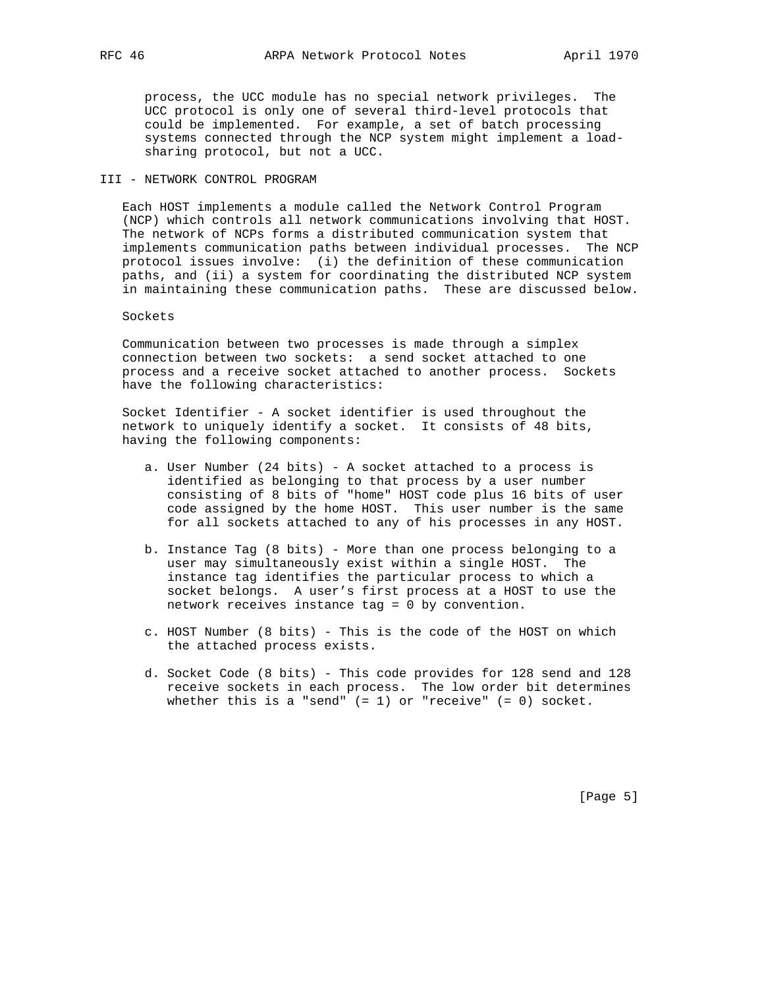process, the UCC module has no special network privileges. The UCC protocol is only one of several third-level protocols that could be implemented. For example, a set of batch processing systems connected through the NCP system might implement a load sharing protocol, but not a UCC.

## III - NETWORK CONTROL PROGRAM

 Each HOST implements a module called the Network Control Program (NCP) which controls all network communications involving that HOST. The network of NCPs forms a distributed communication system that implements communication paths between individual processes. The NCP protocol issues involve: (i) the definition of these communication paths, and (ii) a system for coordinating the distributed NCP system in maintaining these communication paths. These are discussed below.

### Sockets

 Communication between two processes is made through a simplex connection between two sockets: a send socket attached to one process and a receive socket attached to another process. Sockets have the following characteristics:

 Socket Identifier - A socket identifier is used throughout the network to uniquely identify a socket. It consists of 48 bits, having the following components:

- a. User Number (24 bits) A socket attached to a process is identified as belonging to that process by a user number consisting of 8 bits of "home" HOST code plus 16 bits of user code assigned by the home HOST. This user number is the same for all sockets attached to any of his processes in any HOST.
- b. Instance Tag (8 bits) More than one process belonging to a user may simultaneously exist within a single HOST. The instance tag identifies the particular process to which a socket belongs. A user's first process at a HOST to use the network receives instance tag = 0 by convention.
- c. HOST Number (8 bits) This is the code of the HOST on which the attached process exists.
- d. Socket Code (8 bits) This code provides for 128 send and 128 receive sockets in each process. The low order bit determines whether this is a "send"  $(= 1)$  or "receive"  $(= 0)$  socket.

[Page 5]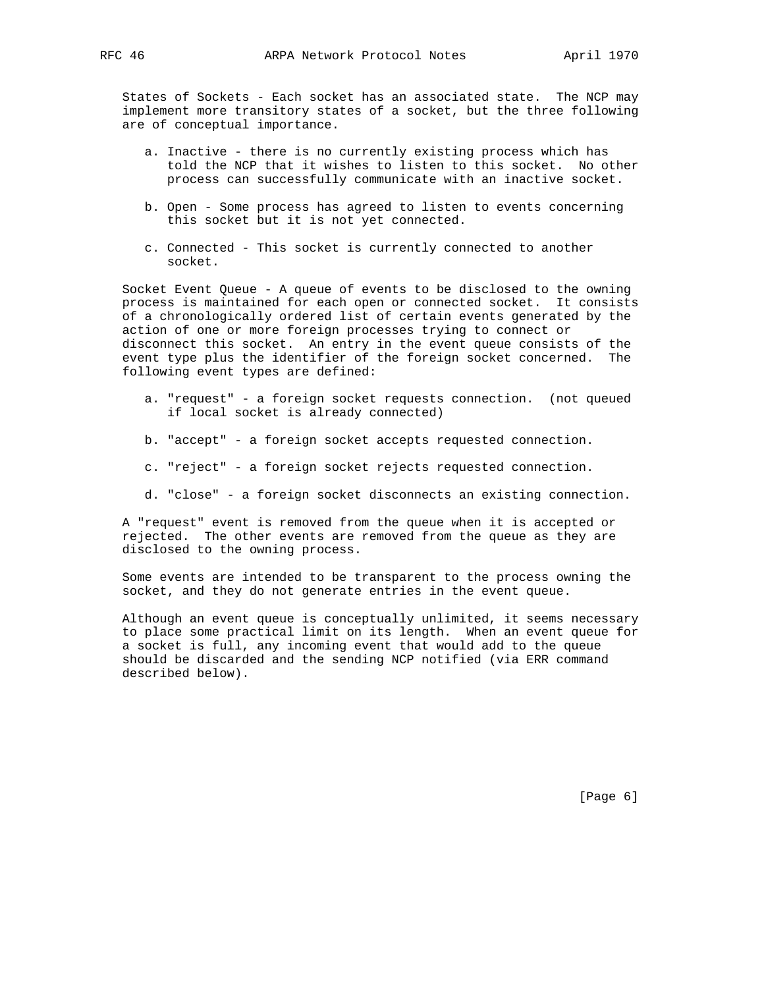States of Sockets - Each socket has an associated state. The NCP may implement more transitory states of a socket, but the three following are of conceptual importance.

- a. Inactive there is no currently existing process which has told the NCP that it wishes to listen to this socket. No other process can successfully communicate with an inactive socket.
- b. Open Some process has agreed to listen to events concerning this socket but it is not yet connected.
- c. Connected This socket is currently connected to another socket.

 Socket Event Queue - A queue of events to be disclosed to the owning process is maintained for each open or connected socket. It consists of a chronologically ordered list of certain events generated by the action of one or more foreign processes trying to connect or disconnect this socket. An entry in the event queue consists of the event type plus the identifier of the foreign socket concerned. The following event types are defined:

- a. "request" a foreign socket requests connection. (not queued if local socket is already connected)
- b. "accept" a foreign socket accepts requested connection.
- c. "reject" a foreign socket rejects requested connection.
- d. "close" a foreign socket disconnects an existing connection.

 A "request" event is removed from the queue when it is accepted or rejected. The other events are removed from the queue as they are disclosed to the owning process.

 Some events are intended to be transparent to the process owning the socket, and they do not generate entries in the event queue.

 Although an event queue is conceptually unlimited, it seems necessary to place some practical limit on its length. When an event queue for a socket is full, any incoming event that would add to the queue should be discarded and the sending NCP notified (via ERR command described below).

[Page 6]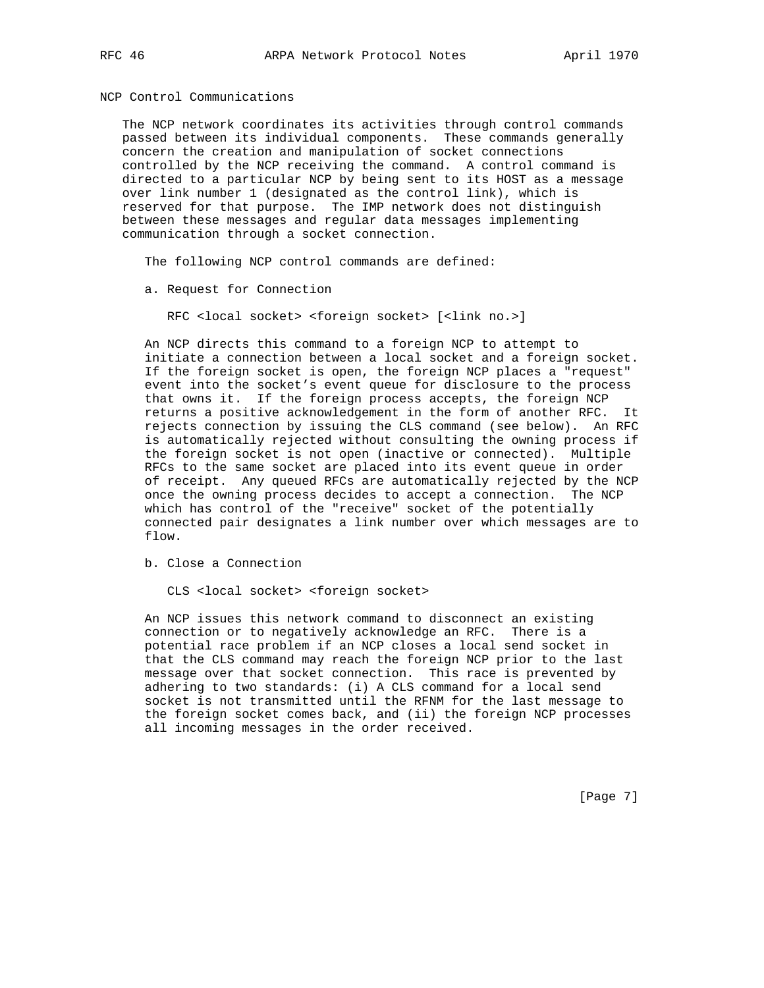NCP Control Communications

 The NCP network coordinates its activities through control commands passed between its individual components. These commands generally concern the creation and manipulation of socket connections controlled by the NCP receiving the command. A control command is directed to a particular NCP by being sent to its HOST as a message over link number 1 (designated as the control link), which is reserved for that purpose. The IMP network does not distinguish between these messages and regular data messages implementing communication through a socket connection.

The following NCP control commands are defined:

a. Request for Connection

RFC <local socket> <foreign socket> [<link no.>]

 An NCP directs this command to a foreign NCP to attempt to initiate a connection between a local socket and a foreign socket. If the foreign socket is open, the foreign NCP places a "request" event into the socket's event queue for disclosure to the process that owns it. If the foreign process accepts, the foreign NCP returns a positive acknowledgement in the form of another RFC. It rejects connection by issuing the CLS command (see below). An RFC is automatically rejected without consulting the owning process if the foreign socket is not open (inactive or connected). Multiple RFCs to the same socket are placed into its event queue in order of receipt. Any queued RFCs are automatically rejected by the NCP once the owning process decides to accept a connection. The NCP which has control of the "receive" socket of the potentially connected pair designates a link number over which messages are to flow.

b. Close a Connection

CLS <local socket> <foreign socket>

 An NCP issues this network command to disconnect an existing connection or to negatively acknowledge an RFC. There is a potential race problem if an NCP closes a local send socket in that the CLS command may reach the foreign NCP prior to the last message over that socket connection. This race is prevented by adhering to two standards: (i) A CLS command for a local send socket is not transmitted until the RFNM for the last message to the foreign socket comes back, and (ii) the foreign NCP processes all incoming messages in the order received.

[Page 7]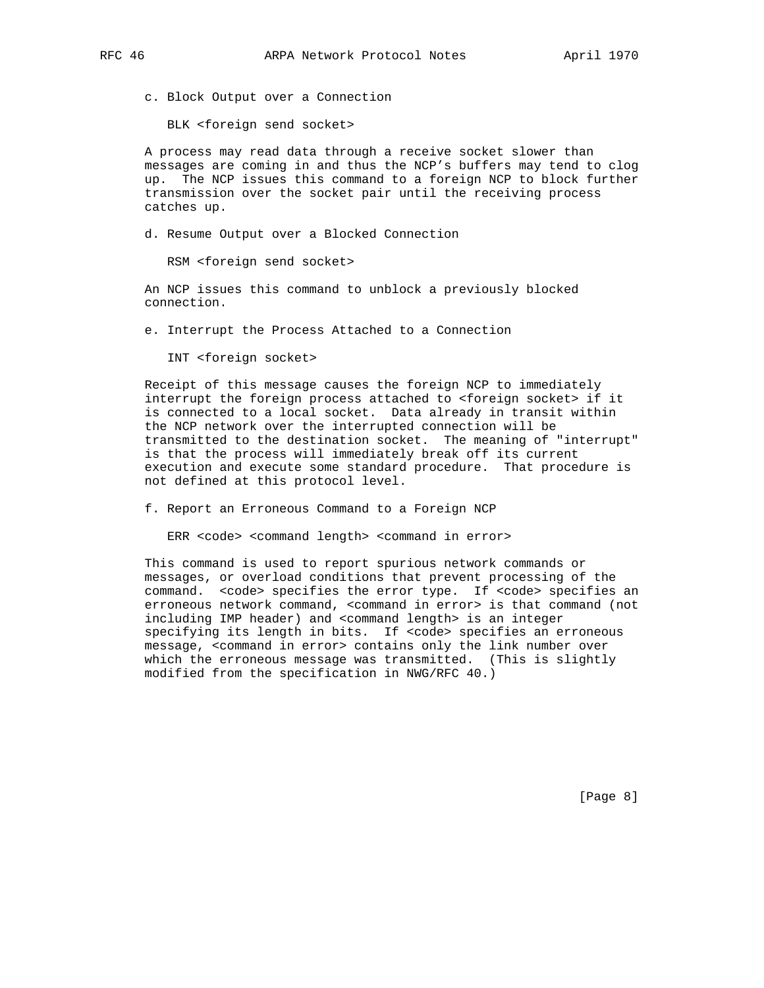c. Block Output over a Connection

BLK <foreign send socket>

 A process may read data through a receive socket slower than messages are coming in and thus the NCP's buffers may tend to clog up. The NCP issues this command to a foreign NCP to block further transmission over the socket pair until the receiving process catches up.

d. Resume Output over a Blocked Connection

RSM <foreign send socket>

 An NCP issues this command to unblock a previously blocked connection.

e. Interrupt the Process Attached to a Connection

INT <foreign socket>

 Receipt of this message causes the foreign NCP to immediately interrupt the foreign process attached to <foreign socket> if it is connected to a local socket. Data already in transit within the NCP network over the interrupted connection will be transmitted to the destination socket. The meaning of "interrupt" is that the process will immediately break off its current execution and execute some standard procedure. That procedure is not defined at this protocol level.

f. Report an Erroneous Command to a Foreign NCP

ERR <code> <command length> <command in error>

 This command is used to report spurious network commands or messages, or overload conditions that prevent processing of the command. < code> specifies the error type. If < code> specifies an erroneous network command, <command in error> is that command (not including IMP header) and <command length> is an integer specifying its length in bits. If <code> specifies an erroneous</code> message, <command in error> contains only the link number over which the erroneous message was transmitted. (This is slightly modified from the specification in NWG/RFC 40.)

[Page 8]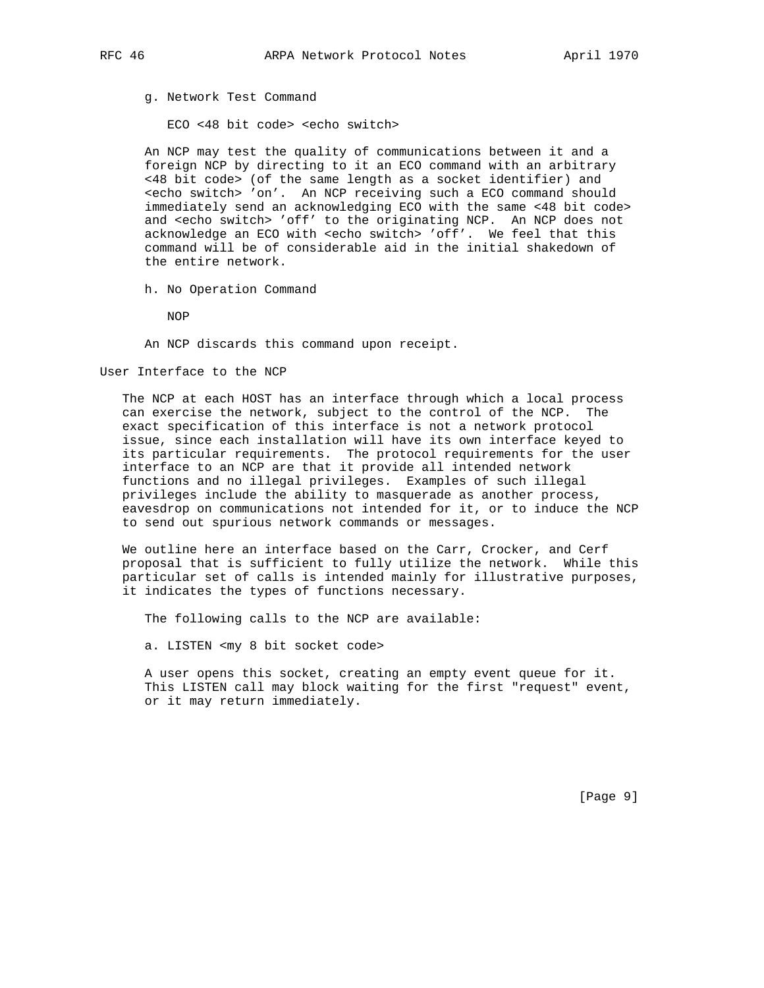g. Network Test Command

ECO <48 bit code> <echo switch>

 An NCP may test the quality of communications between it and a foreign NCP by directing to it an ECO command with an arbitrary <48 bit code> (of the same length as a socket identifier) and <echo switch> 'on'. An NCP receiving such a ECO command should immediately send an acknowledging ECO with the same <48 bit code> and <echo switch> 'off' to the originating NCP. An NCP does not acknowledge an ECO with <echo switch> 'off'. We feel that this command will be of considerable aid in the initial shakedown of the entire network.

h. No Operation Command

NOP

An NCP discards this command upon receipt.

#### User Interface to the NCP

 The NCP at each HOST has an interface through which a local process can exercise the network, subject to the control of the NCP. The exact specification of this interface is not a network protocol issue, since each installation will have its own interface keyed to its particular requirements. The protocol requirements for the user interface to an NCP are that it provide all intended network functions and no illegal privileges. Examples of such illegal privileges include the ability to masquerade as another process, eavesdrop on communications not intended for it, or to induce the NCP to send out spurious network commands or messages.

 We outline here an interface based on the Carr, Crocker, and Cerf proposal that is sufficient to fully utilize the network. While this particular set of calls is intended mainly for illustrative purposes, it indicates the types of functions necessary.

The following calls to the NCP are available:

a. LISTEN <my 8 bit socket code>

 A user opens this socket, creating an empty event queue for it. This LISTEN call may block waiting for the first "request" event, or it may return immediately.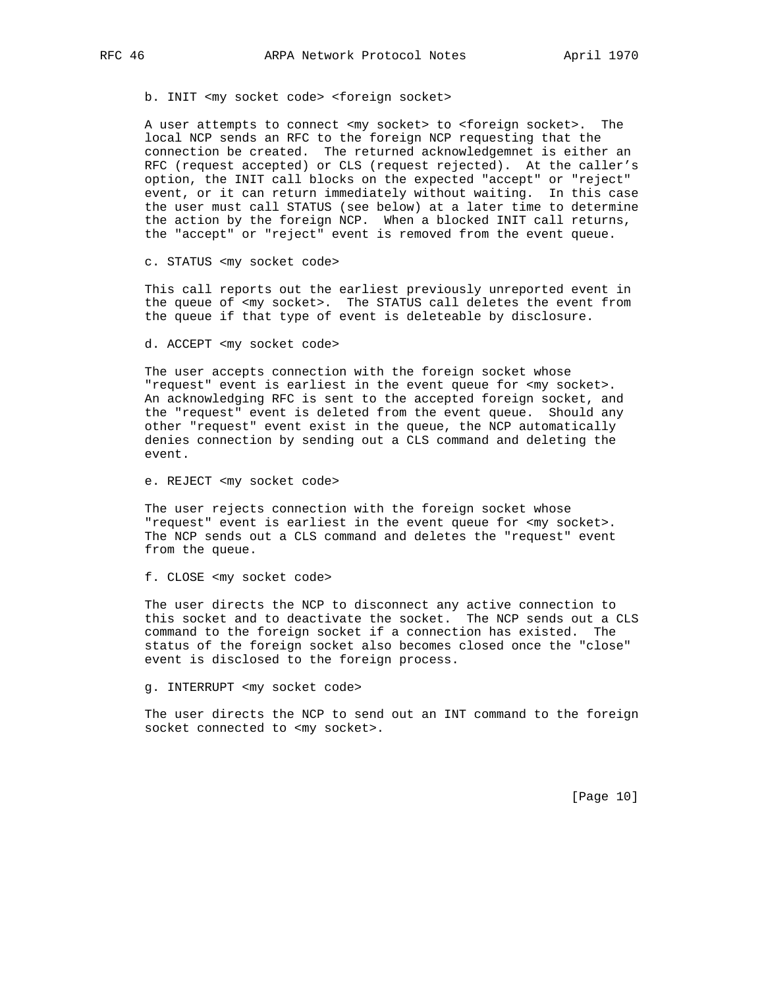b. INIT <my socket code> <foreign socket>

 A user attempts to connect <my socket> to <foreign socket>. The local NCP sends an RFC to the foreign NCP requesting that the connection be created. The returned acknowledgemnet is either an RFC (request accepted) or CLS (request rejected). At the caller's option, the INIT call blocks on the expected "accept" or "reject" event, or it can return immediately without waiting. In this case the user must call STATUS (see below) at a later time to determine the action by the foreign NCP. When a blocked INIT call returns, the "accept" or "reject" event is removed from the event queue.

c. STATUS <my socket code>

 This call reports out the earliest previously unreported event in the queue of <my socket>. The STATUS call deletes the event from the queue if that type of event is deleteable by disclosure.

d. ACCEPT <my socket code>

 The user accepts connection with the foreign socket whose "request" event is earliest in the event queue for <my socket>. An acknowledging RFC is sent to the accepted foreign socket, and the "request" event is deleted from the event queue. Should any other "request" event exist in the queue, the NCP automatically denies connection by sending out a CLS command and deleting the event.

e. REJECT <my socket code>

 The user rejects connection with the foreign socket whose "request" event is earliest in the event queue for <my socket>. The NCP sends out a CLS command and deletes the "request" event from the queue.

f. CLOSE <my socket code>

 The user directs the NCP to disconnect any active connection to this socket and to deactivate the socket. The NCP sends out a CLS command to the foreign socket if a connection has existed. The status of the foreign socket also becomes closed once the "close" event is disclosed to the foreign process.

g. INTERRUPT <my socket code>

 The user directs the NCP to send out an INT command to the foreign socket connected to <my socket>.

[Page 10]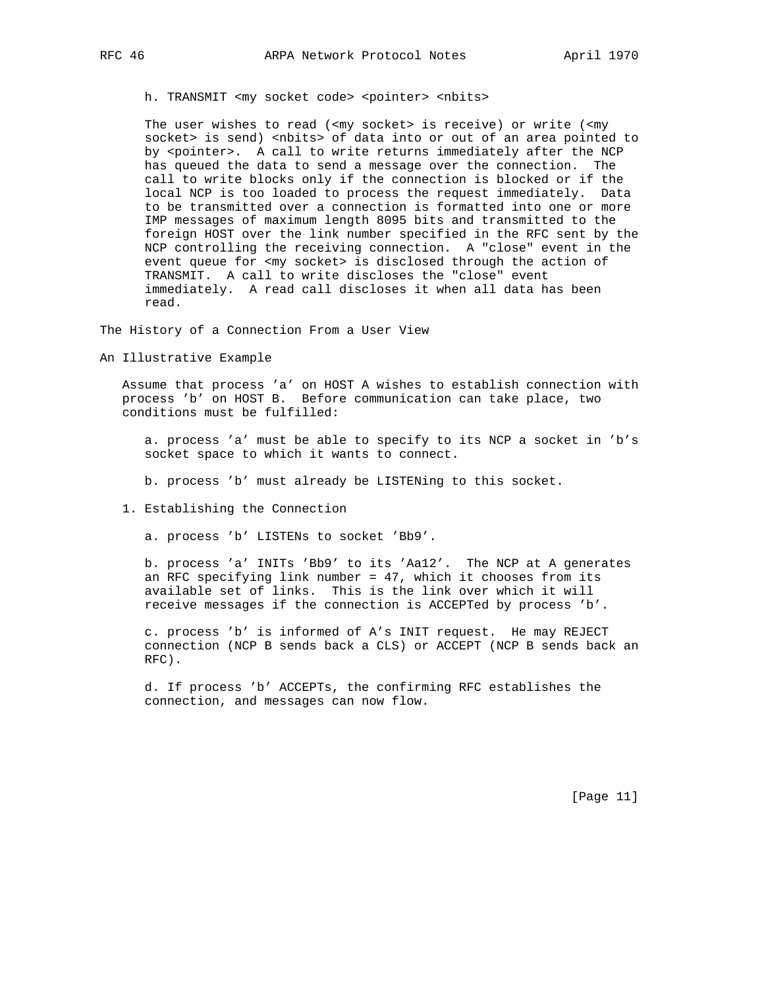h. TRANSMIT <my socket code> <pointer> <nbits>

The user wishes to read (<my socket> is receive) or write (<my socket> is send) <nbits> of data into or out of an area pointed to by <pointer>. A call to write returns immediately after the NCP has queued the data to send a message over the connection. The call to write blocks only if the connection is blocked or if the local NCP is too loaded to process the request immediately. Data to be transmitted over a connection is formatted into one or more IMP messages of maximum length 8095 bits and transmitted to the foreign HOST over the link number specified in the RFC sent by the NCP controlling the receiving connection. A "close" event in the event queue for <my socket> is disclosed through the action of TRANSMIT. A call to write discloses the "close" event immediately. A read call discloses it when all data has been read.

The History of a Connection From a User View

An Illustrative Example

 Assume that process 'a' on HOST A wishes to establish connection with process 'b' on HOST B. Before communication can take place, two conditions must be fulfilled:

 a. process 'a' must be able to specify to its NCP a socket in 'b's socket space to which it wants to connect.

b. process 'b' must already be LISTENing to this socket.

1. Establishing the Connection

a. process 'b' LISTENs to socket 'Bb9'.

 b. process 'a' INITs 'Bb9' to its 'Aa12'. The NCP at A generates an RFC specifying link number = 47, which it chooses from its available set of links. This is the link over which it will receive messages if the connection is ACCEPTed by process 'b'.

 c. process 'b' is informed of A's INIT request. He may REJECT connection (NCP B sends back a CLS) or ACCEPT (NCP B sends back an RFC).

 d. If process 'b' ACCEPTs, the confirming RFC establishes the connection, and messages can now flow.

[Page 11]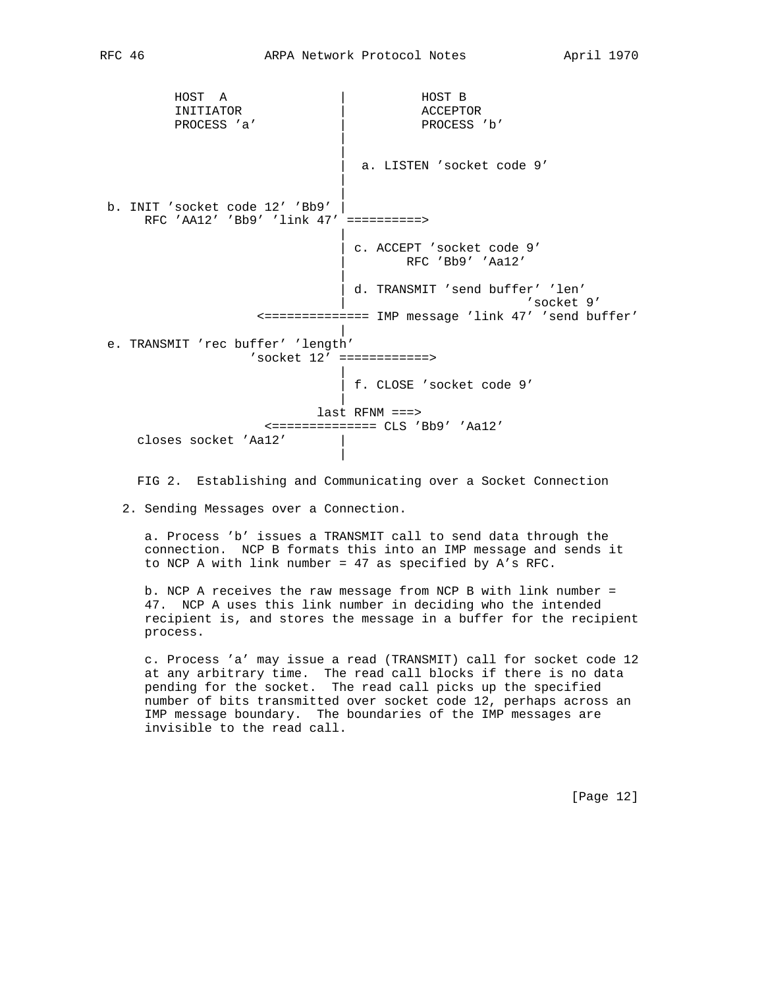HOST A | HOST B INITIATOR | ACCEPTOR PROCESS 'a' | PROCESS 'b' | | a. LISTEN 'socket code 9' | | b. INIT 'socket code 12' 'Bb9' RFC 'AA12' 'Bb9' 'link 47' ==========> | | c. ACCEPT 'socket code 9' | RFC 'Bb9' 'Aa12' | | d. TRANSMIT 'send buffer' 'len' 'socket 9' <============== IMP message 'link 47' 'send buffer' | e. TRANSMIT 'rec buffer' 'length' 'socket 12' ============> | | f. CLOSE 'socket code 9' | last RFNM ===> <============== CLS 'Bb9' 'Aa12' closes socket 'Aa12' | |

FIG 2. Establishing and Communicating over a Socket Connection

2. Sending Messages over a Connection.

 a. Process 'b' issues a TRANSMIT call to send data through the connection. NCP B formats this into an IMP message and sends it to NCP A with link number = 47 as specified by A's RFC.

 b. NCP A receives the raw message from NCP B with link number = 47. NCP A uses this link number in deciding who the intended recipient is, and stores the message in a buffer for the recipient process.

 c. Process 'a' may issue a read (TRANSMIT) call for socket code 12 at any arbitrary time. The read call blocks if there is no data pending for the socket. The read call picks up the specified number of bits transmitted over socket code 12, perhaps across an IMP message boundary. The boundaries of the IMP messages are invisible to the read call.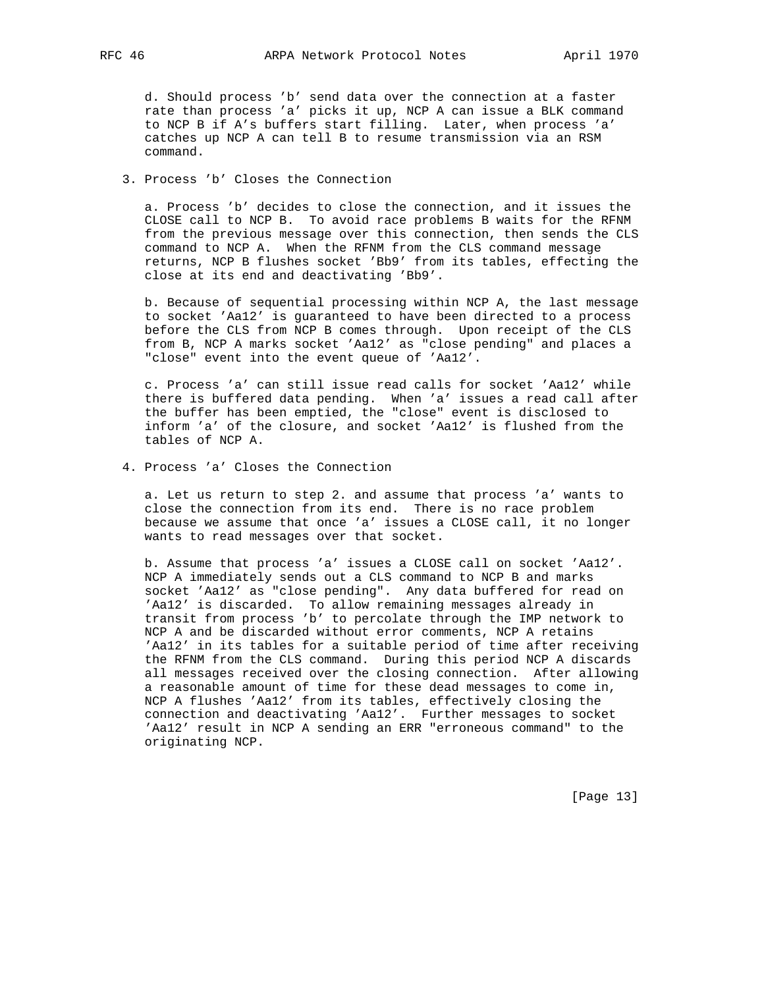d. Should process 'b' send data over the connection at a faster rate than process 'a' picks it up, NCP A can issue a BLK command to NCP B if A's buffers start filling. Later, when process 'a' catches up NCP A can tell B to resume transmission via an RSM command.

# 3. Process 'b' Closes the Connection

 a. Process 'b' decides to close the connection, and it issues the CLOSE call to NCP B. To avoid race problems B waits for the RFNM from the previous message over this connection, then sends the CLS command to NCP A. When the RFNM from the CLS command message returns, NCP B flushes socket 'Bb9' from its tables, effecting the close at its end and deactivating 'Bb9'.

 b. Because of sequential processing within NCP A, the last message to socket 'Aa12' is guaranteed to have been directed to a process before the CLS from NCP B comes through. Upon receipt of the CLS from B, NCP A marks socket 'Aa12' as "close pending" and places a "close" event into the event queue of 'Aa12'.

 c. Process 'a' can still issue read calls for socket 'Aa12' while there is buffered data pending. When 'a' issues a read call after the buffer has been emptied, the "close" event is disclosed to inform 'a' of the closure, and socket 'Aa12' is flushed from the tables of NCP A.

4. Process 'a' Closes the Connection

 a. Let us return to step 2. and assume that process 'a' wants to close the connection from its end. There is no race problem because we assume that once 'a' issues a CLOSE call, it no longer wants to read messages over that socket.

 b. Assume that process 'a' issues a CLOSE call on socket 'Aa12'. NCP A immediately sends out a CLS command to NCP B and marks socket 'Aa12' as "close pending". Any data buffered for read on 'Aa12' is discarded. To allow remaining messages already in transit from process 'b' to percolate through the IMP network to NCP A and be discarded without error comments, NCP A retains 'Aa12' in its tables for a suitable period of time after receiving the RFNM from the CLS command. During this period NCP A discards all messages received over the closing connection. After allowing a reasonable amount of time for these dead messages to come in, NCP A flushes 'Aa12' from its tables, effectively closing the connection and deactivating 'Aa12'. Further messages to socket 'Aa12' result in NCP A sending an ERR "erroneous command" to the originating NCP.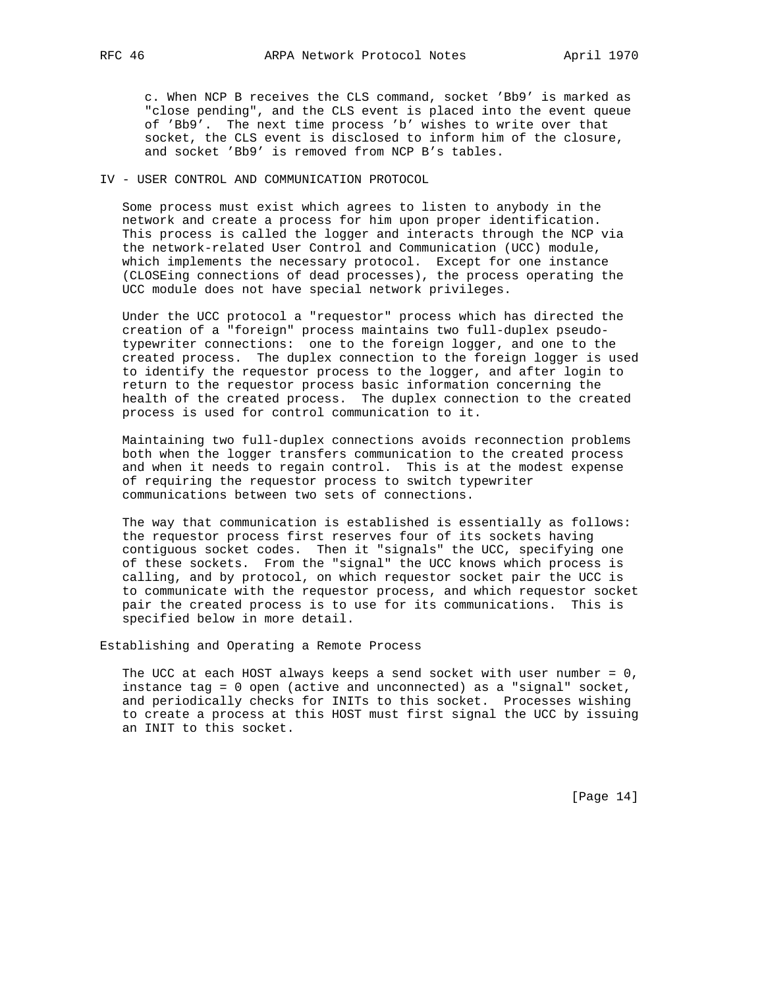c. When NCP B receives the CLS command, socket 'Bb9' is marked as "close pending", and the CLS event is placed into the event queue of 'Bb9'. The next time process 'b' wishes to write over that socket, the CLS event is disclosed to inform him of the closure, and socket 'Bb9' is removed from NCP B's tables.

## IV - USER CONTROL AND COMMUNICATION PROTOCOL

 Some process must exist which agrees to listen to anybody in the network and create a process for him upon proper identification. This process is called the logger and interacts through the NCP via the network-related User Control and Communication (UCC) module, which implements the necessary protocol. Except for one instance (CLOSEing connections of dead processes), the process operating the UCC module does not have special network privileges.

 Under the UCC protocol a "requestor" process which has directed the creation of a "foreign" process maintains two full-duplex pseudo typewriter connections: one to the foreign logger, and one to the created process. The duplex connection to the foreign logger is used to identify the requestor process to the logger, and after login to return to the requestor process basic information concerning the health of the created process. The duplex connection to the created process is used for control communication to it.

 Maintaining two full-duplex connections avoids reconnection problems both when the logger transfers communication to the created process and when it needs to regain control. This is at the modest expense of requiring the requestor process to switch typewriter communications between two sets of connections.

 The way that communication is established is essentially as follows: the requestor process first reserves four of its sockets having contiguous socket codes. Then it "signals" the UCC, specifying one of these sockets. From the "signal" the UCC knows which process is calling, and by protocol, on which requestor socket pair the UCC is to communicate with the requestor process, and which requestor socket pair the created process is to use for its communications. This is specified below in more detail.

Establishing and Operating a Remote Process

 The UCC at each HOST always keeps a send socket with user number = 0, instance tag = 0 open (active and unconnected) as a "signal" socket, and periodically checks for INITs to this socket. Processes wishing to create a process at this HOST must first signal the UCC by issuing an INIT to this socket.

[Page 14]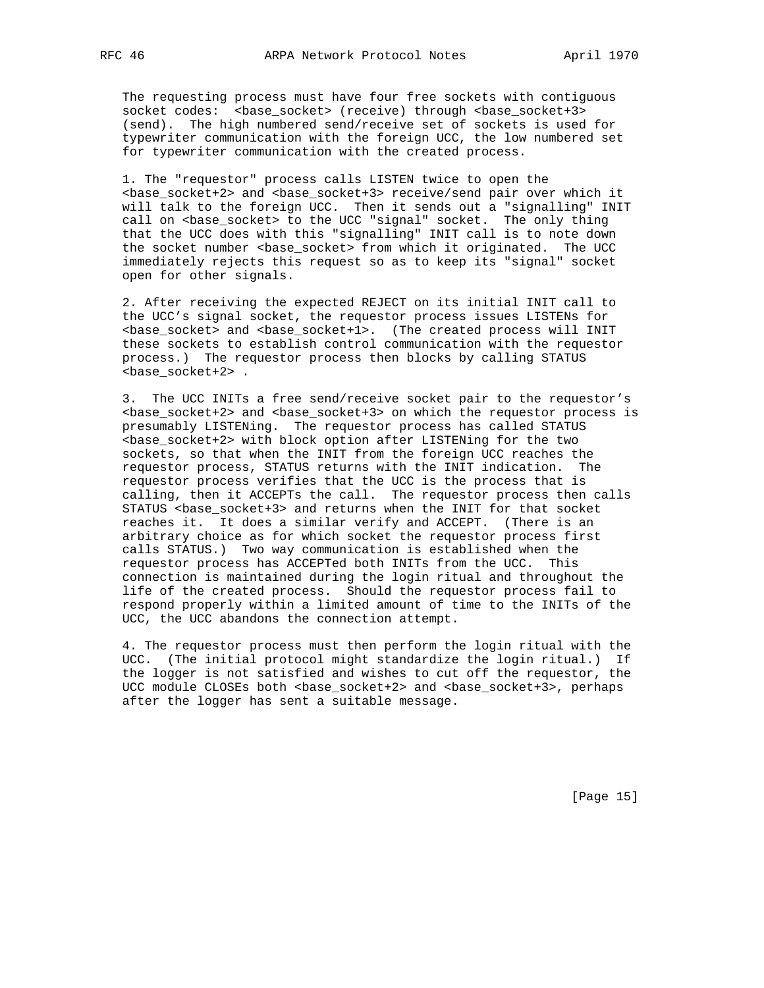The requesting process must have four free sockets with contiguous socket codes: <br />
<br />
<br />
<br />
<br />
<br />
(receive) through<br />
<br />
<br />
<br />
<br />
<br />
<br />
<br />
<br />
<br />
<br />
<br />
<br />
<br />
<br />
<br />
<br />
<br />
<br />
<br />
<br />
<b (send). The high numbered send/receive set of sockets is used for typewriter communication with the foreign UCC, the low numbered set for typewriter communication with the created process.

 1. The "requestor" process calls LISTEN twice to open the <base\_socket+2> and <base\_socket+3> receive/send pair over which it will talk to the foreign UCC. Then it sends out a "signalling" INIT call on <br/>base\_socket> to the UCC "signal" socket. The only thing that the UCC does with this "signalling" INIT call is to note down the socket number <base\_socket> from which it originated. The UCC immediately rejects this request so as to keep its "signal" socket open for other signals.

 2. After receiving the expected REJECT on its initial INIT call to the UCC's signal socket, the requestor process issues LISTENs for <base\_socket> and <base\_socket+1>. (The created process will INIT these sockets to establish control communication with the requestor process.) The requestor process then blocks by calling STATUS <base\_socket+2> .

 3. The UCC INITs a free send/receive socket pair to the requestor's <base\_socket+2> and <base\_socket+3> on which the requestor process is presumably LISTENing. The requestor process has called STATUS <base\_socket+2> with block option after LISTENing for the two sockets, so that when the INIT from the foreign UCC reaches the requestor process, STATUS returns with the INIT indication. The requestor process verifies that the UCC is the process that is calling, then it ACCEPTs the call. The requestor process then calls STATUS <br />base socket+3> and returns when the INIT for that socket reaches it. It does a similar verify and ACCEPT. (There is an arbitrary choice as for which socket the requestor process first calls STATUS.) Two way communication is established when the requestor process has ACCEPTed both INITs from the UCC. This connection is maintained during the login ritual and throughout the life of the created process. Should the requestor process fail to respond properly within a limited amount of time to the INITs of the UCC, the UCC abandons the connection attempt.

 4. The requestor process must then perform the login ritual with the UCC. (The initial protocol might standardize the login ritual.) If the logger is not satisfied and wishes to cut off the requestor, the UCC module CLOSEs both <br/>base\_socket+2> and <br/>base\_socket+3>, perhaps after the logger has sent a suitable message.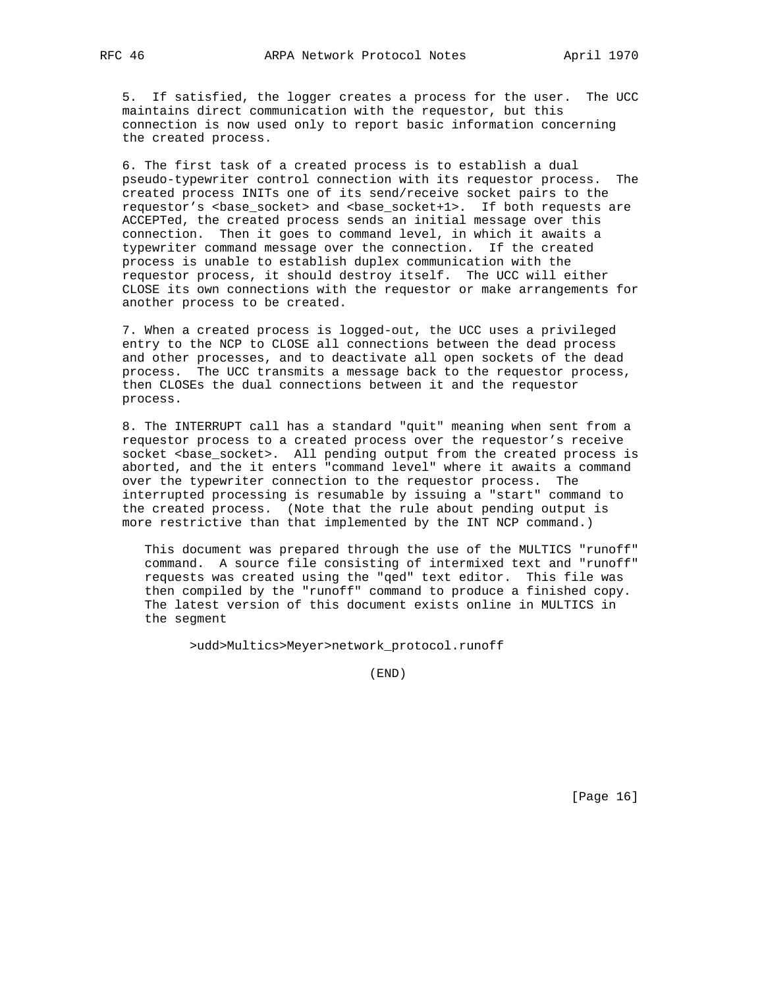5. If satisfied, the logger creates a process for the user. The UCC maintains direct communication with the requestor, but this connection is now used only to report basic information concerning the created process.

 6. The first task of a created process is to establish a dual pseudo-typewriter control connection with its requestor process. The created process INITs one of its send/receive socket pairs to the requestor's <br/>base\_socket> and <br/>base\_socket+1>. If both requests are ACCEPTed, the created process sends an initial message over this connection. Then it goes to command level, in which it awaits a typewriter command message over the connection. If the created process is unable to establish duplex communication with the requestor process, it should destroy itself. The UCC will either CLOSE its own connections with the requestor or make arrangements for another process to be created.

 7. When a created process is logged-out, the UCC uses a privileged entry to the NCP to CLOSE all connections between the dead process and other processes, and to deactivate all open sockets of the dead process. The UCC transmits a message back to the requestor process, then CLOSEs the dual connections between it and the requestor process.

 8. The INTERRUPT call has a standard "quit" meaning when sent from a requestor process to a created process over the requestor's receive socket <br />base\_socket>. All pending output from the created process is aborted, and the it enters "command level" where it awaits a command over the typewriter connection to the requestor process. The interrupted processing is resumable by issuing a "start" command to the created process. (Note that the rule about pending output is more restrictive than that implemented by the INT NCP command.)

 This document was prepared through the use of the MULTICS "runoff" command. A source file consisting of intermixed text and "runoff" requests was created using the "qed" text editor. This file was then compiled by the "runoff" command to produce a finished copy. The latest version of this document exists online in MULTICS in the segment

>udd>Multics>Meyer>network\_protocol.runoff

(END)

[Page 16]